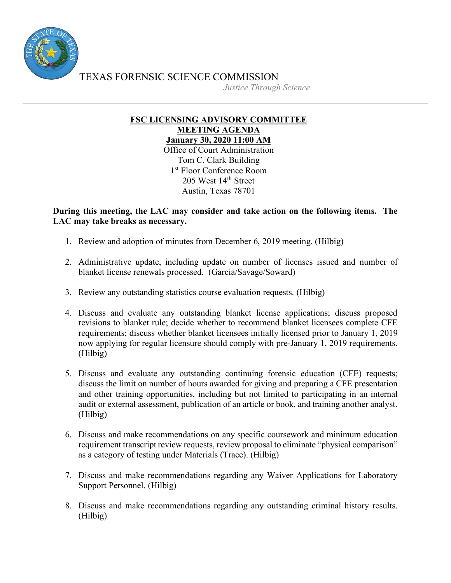

TEXAS FORENSIC SCIENCE COMMISSION

*Justice Through Science*

## **FSC LICENSING ADVISORY COMMITTEE MEETING AGENDA January 30, 2020 11:00 AM**

Office of Court Administration Tom C. Clark Building 1<sup>st</sup> Floor Conference Room 205 West 14th Street Austin, Texas 78701

## **During this meeting, the LAC may consider and take action on the following items. The LAC may take breaks as necessary.**

- 1. Review and adoption of minutes from December 6, 2019 meeting. (Hilbig)
- 2. Administrative update, including update on number of licenses issued and number of blanket license renewals processed. (Garcia/Savage/Soward)
- 3. Review any outstanding statistics course evaluation requests. (Hilbig)
- 4. Discuss and evaluate any outstanding blanket license applications; discuss proposed revisions to blanket rule; decide whether to recommend blanket licensees complete CFE requirements; discuss whether blanket licensees initially licensed prior to January 1, 2019 now applying for regular licensure should comply with pre-January 1, 2019 requirements. (Hilbig)
- 5. Discuss and evaluate any outstanding continuing forensic education (CFE) requests; discuss the limit on number of hours awarded for giving and preparing a CFE presentation and other training opportunities, including but not limited to participating in an internal audit or external assessment, publication of an article or book, and training another analyst. (Hilbig)
- 6. Discuss and make recommendations on any specific coursework and minimum education requirement transcript review requests, review proposal to eliminate "physical comparison" as a category of testing under Materials (Trace). (Hilbig)
- 7. Discuss and make recommendations regarding any Waiver Applications for Laboratory Support Personnel. (Hilbig)
- 8. Discuss and make recommendations regarding any outstanding criminal history results. (Hilbig)